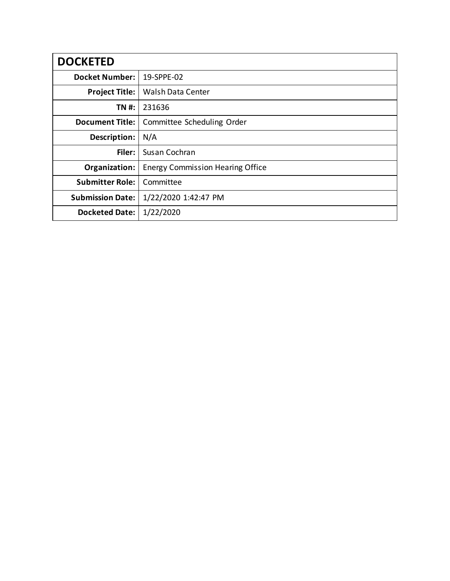| <b>DOCKETED</b>         |                                         |
|-------------------------|-----------------------------------------|
| <b>Docket Number:</b>   | 19-SPPE-02                              |
| <b>Project Title:</b>   | <b>Walsh Data Center</b>                |
| TN #:                   | 231636                                  |
| <b>Document Title:</b>  | Committee Scheduling Order              |
| Description:            | N/A                                     |
| Filer:                  | Susan Cochran                           |
| Organization:           | <b>Energy Commission Hearing Office</b> |
| <b>Submitter Role:</b>  | Committee                               |
| <b>Submission Date:</b> | 1/22/2020 1:42:47 PM                    |
| <b>Docketed Date:</b>   | 1/22/2020                               |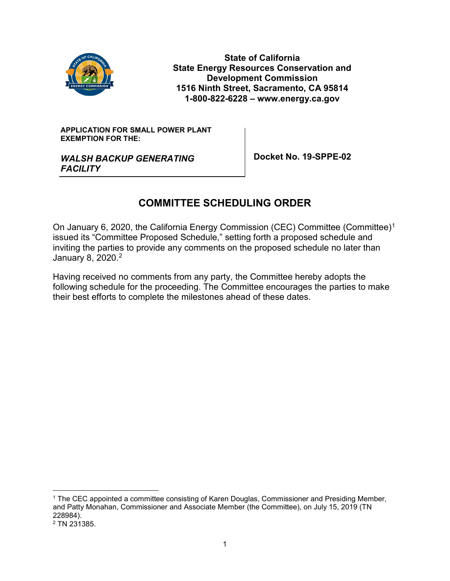

**State of California State Energy Resources Conservation and Development Commission 1516 Ninth Street, Sacramento, CA 95814 1-800-822-6228 – www.energy.ca.gov**

#### **APPLICATION FOR SMALL POWER PLANT EXEMPTION FOR THE:**

*WALSH BACKUP GENERATING FACILITY*

**Docket No. 19-SPPE-02**

# **COMMITTEE SCHEDULING ORDER**

On January 6, 2020, the California Energy Commission (CEC) Committee (Committee)[1](#page-1-0) issued its "Committee Proposed Schedule," setting forth a proposed schedule and inviting the parties to provide any comments on the proposed schedule no later than January 8, [2](#page-1-1)020.<sup>2</sup>

Having received no comments from any party, the Committee hereby adopts the following schedule for the proceeding. The Committee encourages the parties to make their best efforts to complete the milestones ahead of these dates.

<span id="page-1-0"></span> <sup>1</sup> The CEC appointed a committee consisting of Karen Douglas, Commissioner and Presiding Member, and Patty Monahan, Commissioner and Associate Member (the Committee), on July 15, 2019 (TN 228984).

<span id="page-1-1"></span><sup>2</sup> TN 231385.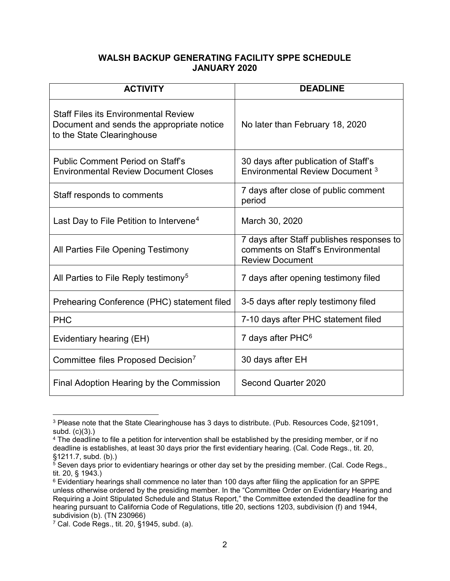# **WALSH BACKUP GENERATING FACILITY SPPE SCHEDULE JANUARY 2020**

| <b>ACTIVITY</b>                                                                                                        | <b>DEADLINE</b>                                                                                          |
|------------------------------------------------------------------------------------------------------------------------|----------------------------------------------------------------------------------------------------------|
| <b>Staff Files its Environmental Review</b><br>Document and sends the appropriate notice<br>to the State Clearinghouse | No later than February 18, 2020                                                                          |
| <b>Public Comment Period on Staff's</b><br><b>Environmental Review Document Closes</b>                                 | 30 days after publication of Staff's<br>Environmental Review Document <sup>3</sup>                       |
| Staff responds to comments                                                                                             | 7 days after close of public comment<br>period                                                           |
| Last Day to File Petition to Intervene <sup>4</sup>                                                                    | March 30, 2020                                                                                           |
| All Parties File Opening Testimony                                                                                     | 7 days after Staff publishes responses to<br>comments on Staff's Environmental<br><b>Review Document</b> |
| All Parties to File Reply testimony <sup>5</sup>                                                                       | 7 days after opening testimony filed                                                                     |
| Prehearing Conference (PHC) statement filed                                                                            | 3-5 days after reply testimony filed                                                                     |
| <b>PHC</b>                                                                                                             | 7-10 days after PHC statement filed                                                                      |
| Evidentiary hearing (EH)                                                                                               | 7 days after PHC <sup>6</sup>                                                                            |
| Committee files Proposed Decision <sup>7</sup>                                                                         | 30 days after EH                                                                                         |
| Final Adoption Hearing by the Commission                                                                               | Second Quarter 2020                                                                                      |

<span id="page-2-0"></span> <sup>3</sup> Please note that the State Clearinghouse has 3 days to distribute. (Pub. Resources Code, §21091, subd. (c)(3).)

<span id="page-2-1"></span><sup>4</sup> The deadline to file a petition for intervention shall be established by the presiding member, or if no deadline is establishes, at least 30 days prior the first evidentiary hearing. (Cal. Code Regs., tit. 20, §1211.7, subd. (b).)

<span id="page-2-2"></span> $5$  Seven days prior to evidentiary hearings or other day set by the presiding member. (Cal. Code Regs., tit. 20, § 1943.)

<span id="page-2-3"></span><sup>6</sup> Evidentiary hearings shall commence no later than 100 days after filing the application for an SPPE unless otherwise ordered by the presiding member. In the "Committee Order on Evidentiary Hearing and Requiring a Joint Stipulated Schedule and Status Report," the Committee extended the deadline for the hearing pursuant to California Code of Regulations, title 20, sections 1203, subdivision (f) and 1944, subdivision (b). (TN 230966)

<span id="page-2-4"></span><sup>7</sup> Cal. Code Regs., tit. 20, §1945, subd. (a).